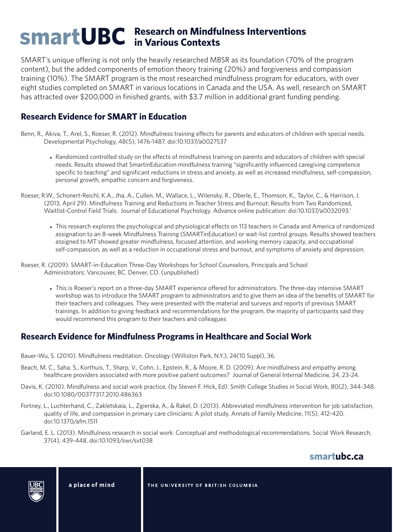## **Research on Mindfulness Interventions in Various Contexts**

SMART's unique offering is not only the heavily researched MBSR as its foundation (70% of the program content), but the added components of emotion theory training (20%) and forgiveness and compassion training (10%). The SMART program is the most researched mindfulness program for educators, with over eight studies completed on SMART in various locations in Canada and the USA. As well, research on SMART has attracted over \$200,000 in finished grants, with \$3.7 million in additional grant funding pending.

#### **Research Evidence for SMART in Education**

Benn, R., Akiva, T., Arel, S., Roeser, R. (2012). Mindfulness training effects for parents and educators of children with special needs. Developmental Psychology, 48(5), 1476-1487. doi:10.1037/a0027537

- Randomized controlled study on the effects of mindfulness training on parents and educators of children with special needs. Results showed that SmartinEducation mindfulness training "significantly influenced caregiving competence specific to teaching" and significant reductions in stress and anxiety, as well as increased mindfulness, self-compassion, personal growth, empathic concern and forgiveness.
- Roeser, R.W., Schonert-Reichl, K.A., Jha, A., Cullen, M., Wallace, L., Wilensky, R., Oberle, E., Thomson, K., Taylor, C., & Harrison, J. (2013, April 29). Mindfulness Training and Reductions in Teacher Stress and Burnout: Results from Two Randomized, Waitlist-Control Field Trials. Journal of Educational Psychology. Advance online publication: doi:10.1037/a0032093.'
	- This research explores the psychological and physiological effects on 113 teachers in Canada and America of randomized assignation to an 8-week Mindfulness Training (SMARTinEducation) or wait-list control groups. Results showed teachers assigned to MT showed greater mindfulness, focused attention, and working memory capacity, and occupational self-compassion, as well as a reduction in occupational stress and burnout, and symptoms of anxiety and depression.
- Roeser, R. (2009). SMART-in-Education Three-Day Workshops for School Counselors, Principals and School Administrators: Vancouver, BC. Denver, CO. (unpublished)
	- $\bullet$  This is Roeser's report on a three-day SMART experience offered for administrators. The three-day intensive SMART workshop was to introduce the SMART program to administrators and to give them an idea of the benefits of SMART for their teachers and colleagues. They were presented with the material and surveys and reports of previous SMART trainings. In addition to giving feedback and recommendations for the program, the majority of participants said they would recommend this program to their teachers and colleagues

#### **Research Evidence for Mindfulness Programs in Healthcare and Social Work**

- Bauer-Wu, S. (2010). Mindfulness meditation. Oncology (Williston Park, N.Y.), 24(10 Suppl), 36.
- Beach, M. C., Saha, S., Korthuis, T., Sharp, V., Cohn, J., Epstein, R., & Moore, R. D. (2009). Are mindfulness and empathy among healthcare providers associated with more positive patient outcomes? Journal of General Internal Medicine, 24, 23-24.
- Davis, K. (2010). Mindfulness and social work practice, (by Steven F. Hick, Ed). Smith College Studies in Social Work, 80(2), 344-348. doi:10.1080/00377317.2010.486363
- Fortney, L., Luchterhand, C., Zakletskaia, L., Zgierska, A., & Rakel, D. (2013). Abbreviated mindfulness intervention for job satisfaction, quality of life, and compassion in primary care clinicians: A pilot study. Annals of Family Medicine, 11(5), 412-420. doi:10.1370/afm.1511
- Garland, E. L. (2013). Mindfulness research in social work: Conceptual and methodological recommendations. Social Work Research, 37(4), 439-448. doi:10.1093/swr/svt038

## **smartubc.ca**



a place of mind

THE UNIVERSITY OF BRITISH COLUMBIA